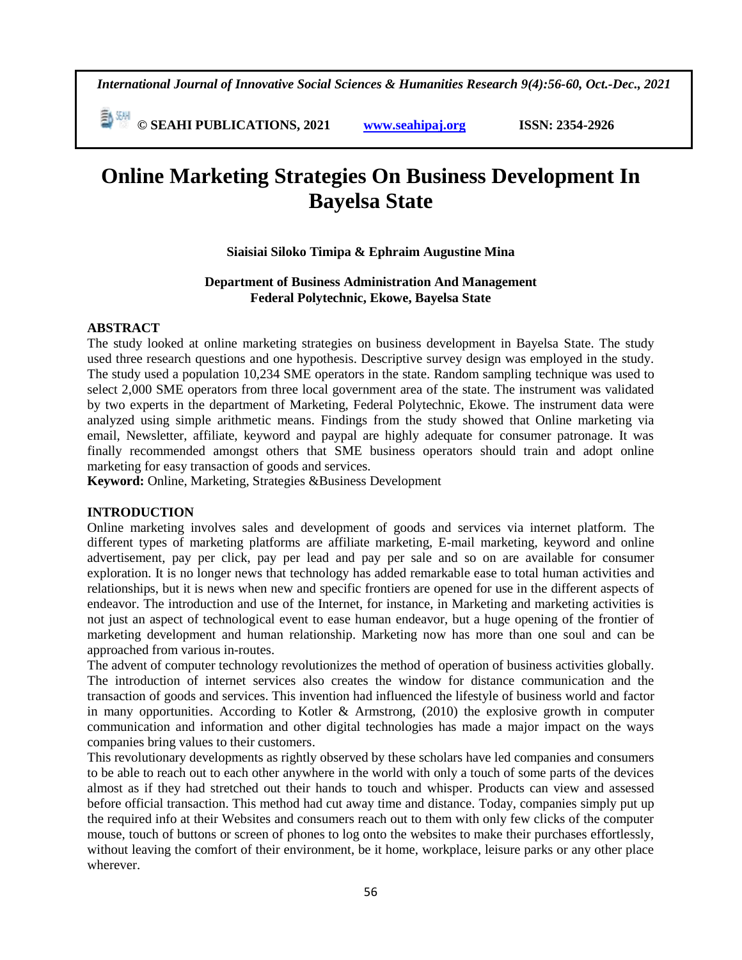*International Journal of Innovative Social Sciences & Humanities Research 9(4):56-60, Oct.-Dec., 2021*

 **© SEAHI PUBLICATIONS, 2021 [www.seahipaj.org](http://www.seahipaj.org/) ISSN: 2354-2926** 

# **Online Marketing Strategies On Business Development In Bayelsa State**

#### **Siaisiai Siloko Timipa & Ephraim Augustine Mina**

#### **Department of Business Administration And Management Federal Polytechnic, Ekowe, Bayelsa State**

## **ABSTRACT**

The study looked at online marketing strategies on business development in Bayelsa State. The study used three research questions and one hypothesis. Descriptive survey design was employed in the study. The study used a population 10,234 SME operators in the state. Random sampling technique was used to select 2,000 SME operators from three local government area of the state. The instrument was validated by two experts in the department of Marketing, Federal Polytechnic, Ekowe. The instrument data were analyzed using simple arithmetic means. Findings from the study showed that Online marketing via email, Newsletter, affiliate, keyword and paypal are highly adequate for consumer patronage. It was finally recommended amongst others that SME business operators should train and adopt online marketing for easy transaction of goods and services.

**Keyword:** Online, Marketing, Strategies &Business Development

#### **INTRODUCTION**

Online marketing involves sales and development of goods and services via internet platform. The different types of marketing platforms are affiliate marketing, E-mail marketing, keyword and online advertisement, pay per click, pay per lead and pay per sale and so on are available for consumer exploration. It is no longer news that technology has added remarkable ease to total human activities and relationships, but it is news when new and specific frontiers are opened for use in the different aspects of endeavor. The introduction and use of the Internet, for instance, in Marketing and marketing activities is not just an aspect of technological event to ease human endeavor, but a huge opening of the frontier of marketing development and human relationship. Marketing now has more than one soul and can be approached from various in-routes.

The advent of computer technology revolutionizes the method of operation of business activities globally. The introduction of internet services also creates the window for distance communication and the transaction of goods and services. This invention had influenced the lifestyle of business world and factor in many opportunities. According to Kotler & Armstrong, (2010) the explosive growth in computer communication and information and other digital technologies has made a major impact on the ways companies bring values to their customers.

This revolutionary developments as rightly observed by these scholars have led companies and consumers to be able to reach out to each other anywhere in the world with only a touch of some parts of the devices almost as if they had stretched out their hands to touch and whisper. Products can view and assessed before official transaction. This method had cut away time and distance. Today, companies simply put up the required info at their Websites and consumers reach out to them with only few clicks of the computer mouse, touch of buttons or screen of phones to log onto the websites to make their purchases effortlessly, without leaving the comfort of their environment, be it home, workplace, leisure parks or any other place wherever.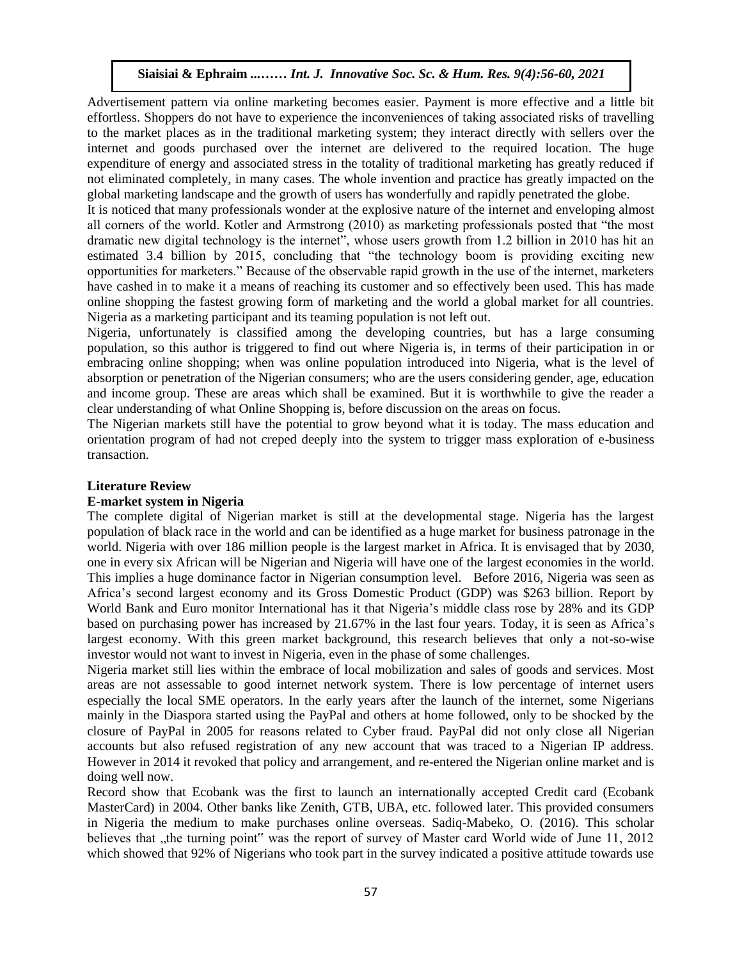Advertisement pattern via online marketing becomes easier. Payment is more effective and a little bit effortless. Shoppers do not have to experience the inconveniences of taking associated risks of travelling to the market places as in the traditional marketing system; they interact directly with sellers over the internet and goods purchased over the internet are delivered to the required location. The huge expenditure of energy and associated stress in the totality of traditional marketing has greatly reduced if not eliminated completely, in many cases. The whole invention and practice has greatly impacted on the global marketing landscape and the growth of users has wonderfully and rapidly penetrated the globe.

It is noticed that many professionals wonder at the explosive nature of the internet and enveloping almost all corners of the world. Kotler and Armstrong (2010) as marketing professionals posted that "the most dramatic new digital technology is the internet", whose users growth from 1.2 billion in 2010 has hit an estimated 3.4 billion by 2015, concluding that "the technology boom is providing exciting new opportunities for marketers." Because of the observable rapid growth in the use of the internet, marketers have cashed in to make it a means of reaching its customer and so effectively been used. This has made online shopping the fastest growing form of marketing and the world a global market for all countries. Nigeria as a marketing participant and its teaming population is not left out.

Nigeria, unfortunately is classified among the developing countries, but has a large consuming population, so this author is triggered to find out where Nigeria is, in terms of their participation in or embracing online shopping; when was online population introduced into Nigeria, what is the level of absorption or penetration of the Nigerian consumers; who are the users considering gender, age, education and income group. These are areas which shall be examined. But it is worthwhile to give the reader a clear understanding of what Online Shopping is, before discussion on the areas on focus.

The Nigerian markets still have the potential to grow beyond what it is today. The mass education and orientation program of had not creped deeply into the system to trigger mass exploration of e-business transaction.

#### **Literature Review**

#### **E-market system in Nigeria**

The complete digital of Nigerian market is still at the developmental stage. Nigeria has the largest population of black race in the world and can be identified as a huge market for business patronage in the world. Nigeria with over 186 million people is the largest market in Africa. It is envisaged that by 2030, one in every six African will be Nigerian and Nigeria will have one of the largest economies in the world. This implies a huge dominance factor in Nigerian consumption level. Before 2016, Nigeria was seen as Africa's second largest economy and its Gross Domestic Product (GDP) was \$263 billion. Report by World Bank and Euro monitor International has it that Nigeria's middle class rose by 28% and its GDP based on purchasing power has increased by 21.67% in the last four years. Today, it is seen as Africa's largest economy. With this green market background, this research believes that only a not-so-wise investor would not want to invest in Nigeria, even in the phase of some challenges.  $\frac{1}{2}$  . The Music music system in Nigeria

Nigeria market still lies within the embrace of local mobilization and sales of goods and services. Most areas are not assessable to good internet network system. There is low percentage of internet users especially the local SME operators. In the early years after the launch of the internet, some Nigerians mainly in the Diaspora started using the PayPal and others at home followed, only to be shocked by the closure of PayPal in 2005 for reasons related to Cyber fraud. PayPal did not only close all Nigerian accounts but also refused registration of any new account that was traced to a Nigerian IP address. However in 2014 it revoked that policy and arrangement, and re-entered the Nigerian online market and is doing well now.

Record show that Ecobank was the first to launch an internationally accepted Credit card (Ecobank MasterCard) in 2004. Other banks like Zenith, GTB, UBA, etc. followed later. This provided consumers in Nigeria the medium to make purchases online overseas. Sadiq-Mabeko, O. (2016). This scholar believes that , the turning point" was the report of survey of Master card World wide of June 11, 2012 which showed that 92% of Nigerians who took part in the survey indicated a positive attitude towards use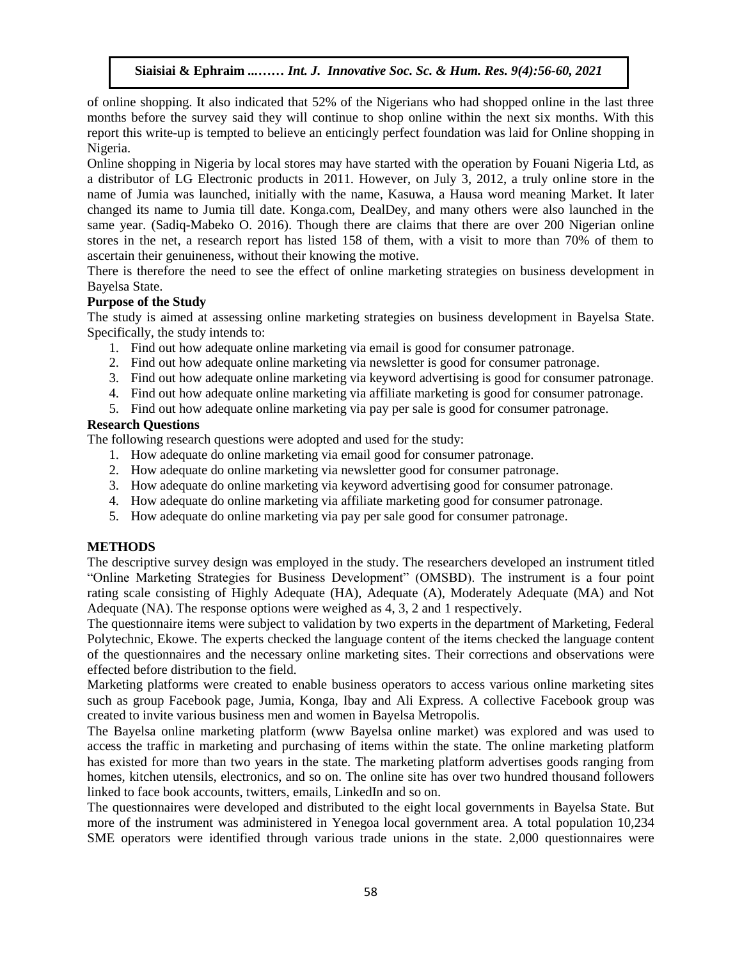of online shopping. It also indicated that 52% of the Nigerians who had shopped online in the last three months before the survey said they will continue to shop online within the next six months. With this report this write-up is tempted to believe an enticingly perfect foundation was laid for Online shopping in Nigeria.

Online shopping in Nigeria by local stores may have started with the operation by Fouani Nigeria Ltd, as a distributor of LG Electronic products in 2011. However, on July 3, 2012, a truly online store in the name of Jumia was launched, initially with the name, Kasuwa, a Hausa word meaning Market. It later changed its name to Jumia till date. Konga.com, DealDey, and many others were also launched in the same year. (Sadiq-Mabeko O. 2016). Though there are claims that there are over 200 Nigerian online stores in the net, a research report has listed 158 of them, with a visit to more than 70% of them to ascertain their genuineness, without their knowing the motive.

There is therefore the need to see the effect of online marketing strategies on business development in Bayelsa State.

#### **Purpose of the Study**

The study is aimed at assessing online marketing strategies on business development in Bayelsa State. Specifically, the study intends to:

- 1. Find out how adequate online marketing via email is good for consumer patronage.
- 2. Find out how adequate online marketing via newsletter is good for consumer patronage.
- 3. Find out how adequate online marketing via keyword advertising is good for consumer patronage.
- 4. Find out how adequate online marketing via affiliate marketing is good for consumer patronage.
- 5. Find out how adequate online marketing via pay per sale is good for consumer patronage.

#### **Research Questions**

The following research questions were adopted and used for the study:

- 1. How adequate do online marketing via email good for consumer patronage.
- 2. How adequate do online marketing via newsletter good for consumer patronage.
- 3. How adequate do online marketing via keyword advertising good for consumer patronage.
- 4. How adequate do online marketing via affiliate marketing good for consumer patronage.
- 5. How adequate do online marketing via pay per sale good for consumer patronage.

#### **METHODS**

The descriptive survey design was employed in the study. The researchers developed an instrument titled "Online Marketing Strategies for Business Development" (OMSBD). The instrument is a four point rating scale consisting of Highly Adequate (HA), Adequate (A), Moderately Adequate (MA) and Not Adequate (NA). The response options were weighed as 4, 3, 2 and 1 respectively.

The questionnaire items were subject to validation by two experts in the department of Marketing, Federal Polytechnic, Ekowe. The experts checked the language content of the items checked the language content of the questionnaires and the necessary online marketing sites. Their corrections and observations were effected before distribution to the field.

Marketing platforms were created to enable business operators to access various online marketing sites such as group Facebook page, Jumia, Konga, Ibay and Ali Express. A collective Facebook group was created to invite various business men and women in Bayelsa Metropolis.

The Bayelsa online marketing platform (www Bayelsa online market) was explored and was used to access the traffic in marketing and purchasing of items within the state. The online marketing platform has existed for more than two years in the state. The marketing platform advertises goods ranging from homes, kitchen utensils, electronics, and so on. The online site has over two hundred thousand followers linked to face book accounts, twitters, emails, LinkedIn and so on.

The questionnaires were developed and distributed to the eight local governments in Bayelsa State. But more of the instrument was administered in Yenegoa local government area. A total population 10,234 SME operators were identified through various trade unions in the state. 2,000 questionnaires were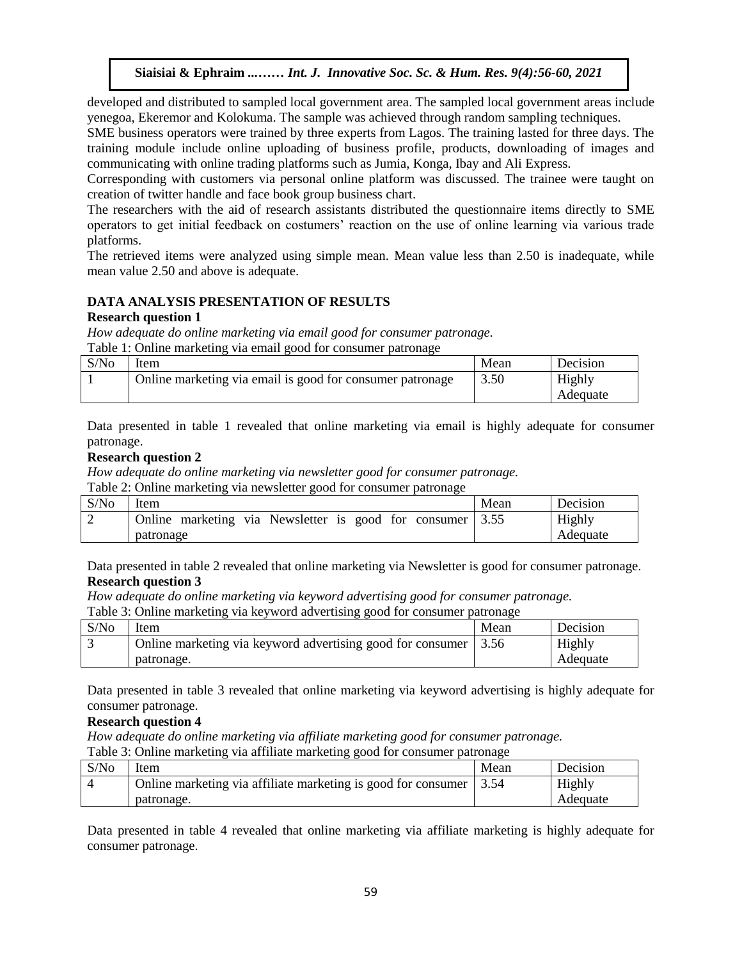developed and distributed to sampled local government area. The sampled local government areas include yenegoa, Ekeremor and Kolokuma. The sample was achieved through random sampling techniques.

SME business operators were trained by three experts from Lagos. The training lasted for three days. The training module include online uploading of business profile, products, downloading of images and communicating with online trading platforms such as Jumia, Konga, Ibay and Ali Express.

Corresponding with customers via personal online platform was discussed. The trainee were taught on creation of twitter handle and face book group business chart.

The researchers with the aid of research assistants distributed the questionnaire items directly to SME operators to get initial feedback on costumers' reaction on the use of online learning via various trade platforms.

The retrieved items were analyzed using simple mean. Mean value less than 2.50 is inadequate, while mean value 2.50 and above is adequate.

#### **DATA ANALYSIS PRESENTATION OF RESULTS**

## **Research question 1**

*How adequate do online marketing via email good for consumer patronage.* Table 1: Online marketing via email good for consumer patronage

| S/N <sub>0</sub> | tem                                                       | Mean | Decision |
|------------------|-----------------------------------------------------------|------|----------|
|                  | Online marketing via email is good for consumer patronage | 3.50 | Highly   |
|                  |                                                           |      | Adequate |

Data presented in table 1 revealed that online marketing via email is highly adequate for consumer patronage. Arugu & Wosu …… Int. J. Innovative Soc. Sc. & Hum. Res. 8(1):1-11, 2020

#### **Research question 2**

*How adequate do online marketing via newsletter good for consumer patronage.*

Table 2: Online marketing via newsletter good for consumer patronage

| S/No | Item      |  |  |                                                           |  |  |  | Mean     | Decision |
|------|-----------|--|--|-----------------------------------------------------------|--|--|--|----------|----------|
|      |           |  |  | Online marketing via Newsletter is good for consumer 3.55 |  |  |  |          | Highly   |
|      | patronage |  |  |                                                           |  |  |  | Adequate |          |

Data presented in table 2 revealed that online marketing via Newsletter is good for consumer patronage. **Research question 3**

*How adequate do online marketing via keyword advertising good for consumer patronage.*

Table 3: Online marketing via keyword advertising good for consumer patronage

| S/No | Item                                                       | Mean | Decision |
|------|------------------------------------------------------------|------|----------|
|      | Online marketing via keyword advertising good for consumer | 3.56 | Highly   |
|      | patronage.                                                 |      | Adequate |

Data presented in table 3 revealed that online marketing via keyword advertising is highly adequate for consumer patronage.

#### **Research question 4**

*How adequate do online marketing via affiliate marketing good for consumer patronage.* Table 3: Online marketing via affiliate marketing good for consumer patronage

| Table 5. Omnie marketing via armiate marketing good for consumer patronage |                                                                      |      |          |  |  |  |
|----------------------------------------------------------------------------|----------------------------------------------------------------------|------|----------|--|--|--|
| S/No                                                                       | Item                                                                 | Mean | Decision |  |  |  |
|                                                                            | Online marketing via affiliate marketing is good for consumer   3.54 |      | Highly   |  |  |  |
|                                                                            | patronage.                                                           |      | Adequate |  |  |  |

Data presented in table 4 revealed that online marketing via affiliate marketing is highly adequate for consumer patronage.